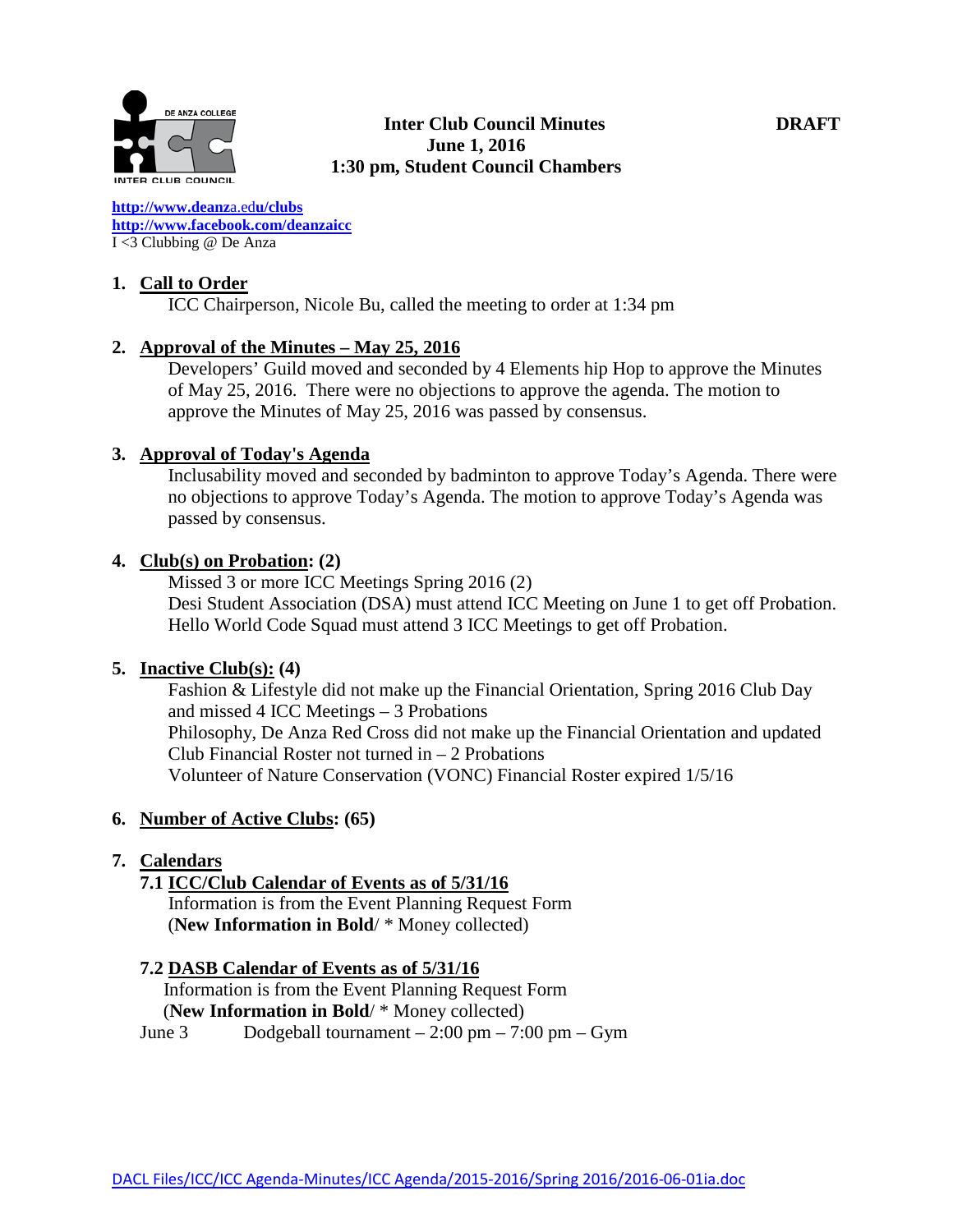

**[http://www.deanz](http://www.deanza.edu/clubs)**[a.ed](http://www.deanza.edu/clubs)**[u/clubs](http://www.deanza.edu/clubs) [http://www.facebook.com/deanzaicc](http://www.facebook.com/home.php#!/group.php?gid=59034552686)** I <3 Clubbing @ De Anza

### **1. Call to Order**

ICC Chairperson, Nicole Bu, called the meeting to order at 1:34 pm

### **2. Approval of the Minutes – May 25, 2016**

Developers' Guild moved and seconded by 4 Elements hip Hop to approve the Minutes of May 25, 2016. There were no objections to approve the agenda. The motion to approve the Minutes of May 25, 2016 was passed by consensus.

### **3. Approval of Today's Agenda**

Inclusability moved and seconded by badminton to approve Today's Agenda. There were no objections to approve Today's Agenda. The motion to approve Today's Agenda was passed by consensus.

### **4. Club(s) on Probation: (2)**

Missed 3 or more ICC Meetings Spring 2016 (2) Desi Student Association (DSA) must attend ICC Meeting on June 1 to get off Probation. Hello World Code Squad must attend 3 ICC Meetings to get off Probation.

#### **5. Inactive Club(s): (4)**

Fashion & Lifestyle did not make up the Financial Orientation, Spring 2016 Club Day and missed 4 ICC Meetings – 3 Probations Philosophy, De Anza Red Cross did not make up the Financial Orientation and updated Club Financial Roster not turned in  $-2$  Probations Volunteer of Nature Conservation (VONC) Financial Roster expired 1/5/16

#### **6. Number of Active Clubs: (65)**

# **7. Calendars**

# **7.1 ICC/Club Calendar of Events as of 5/31/16**

 Information is from the Event Planning Request Form (**New Information in Bold**/ \* Money collected)

#### **7.2 DASB Calendar of Events as of 5/31/16**

Information is from the Event Planning Request Form (**New Information in Bold**/ \* Money collected)

June 3 Dodgeball tournament  $-2:00 \text{ pm} - 7:00 \text{ pm} - \text{Gym}$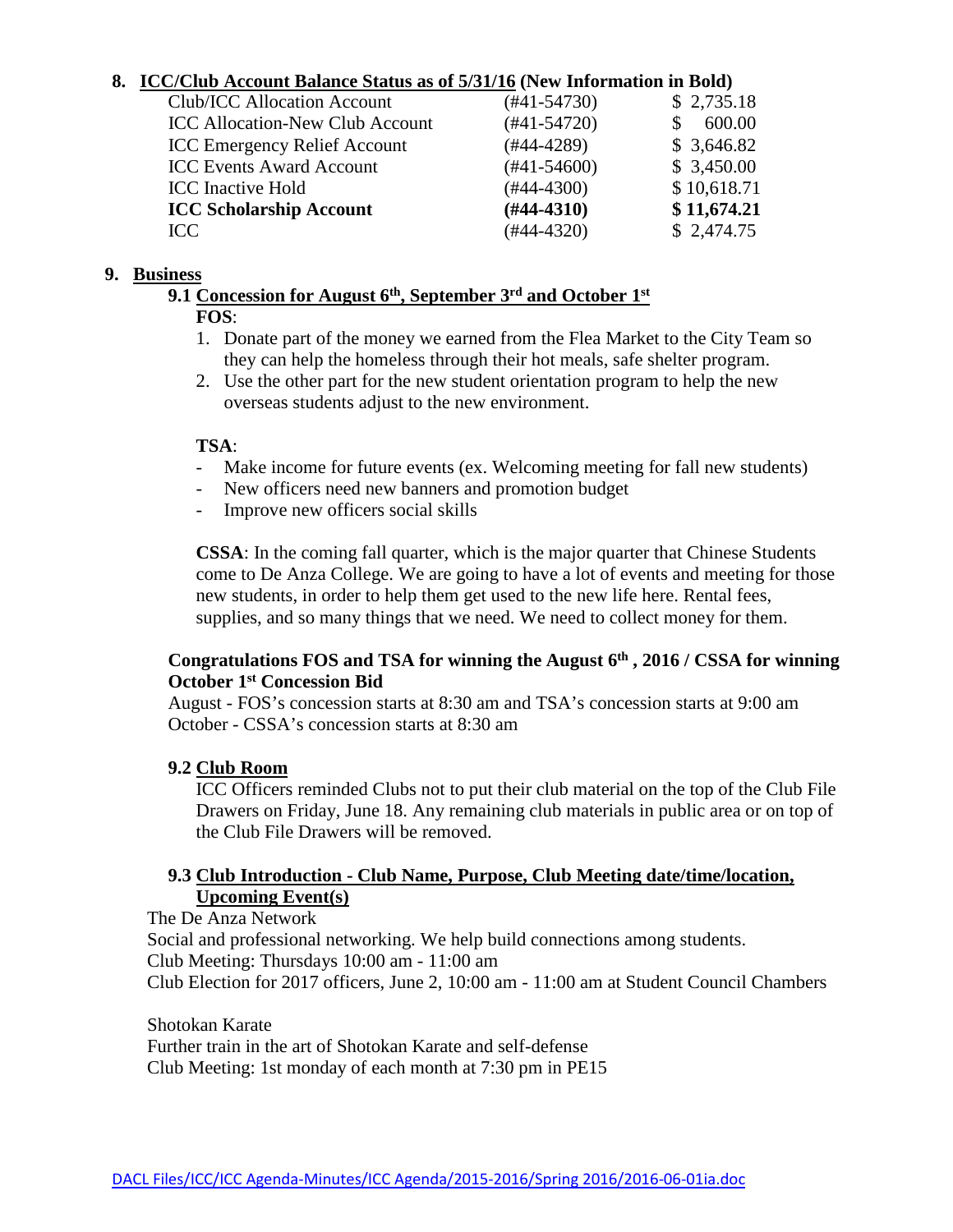## **8. ICC/Club Account Balance Status as of 5/31/16 (New Information in Bold)**

| <b>Club/ICC Allocation Account</b>     | (#41-54730)   | \$2,735.18  |
|----------------------------------------|---------------|-------------|
| <b>ICC Allocation-New Club Account</b> | $(#41-54720)$ | 600.00      |
| <b>ICC Emergency Relief Account</b>    | (#44-4289)    | \$3,646.82  |
| <b>ICC Events Award Account</b>        | $(#41-54600)$ | \$3,450.00  |
| <b>ICC</b> Inactive Hold               | $(#44-4300)$  | \$10,618.71 |
| <b>ICC Scholarship Account</b>         | $(#44-4310)$  | \$11,674.21 |
| ICC                                    | $(#44-4320)$  | \$2,474.75  |
|                                        |               |             |

#### **9. Business**

**9.1 Concession for August 6th, September 3rd and October 1st**

## **FOS**:

- 1. Donate part of the money we earned from the Flea Market to the City Team so they can help the homeless through their hot meals, safe shelter program.
- 2. Use the other part for the new student orientation program to help the new overseas students adjust to the new environment.

## **TSA**:

- Make income for future events (ex. Welcoming meeting for fall new students)
- New officers need new banners and promotion budget
- Improve new officers social skills

**CSSA**: In the coming fall quarter, which is the major quarter that Chinese Students come to De Anza College. We are going to have a lot of events and meeting for those new students, in order to help them get used to the new life here. Rental fees, supplies, and so many things that we need. We need to collect money for them.

# Congratulations FOS and TSA for winning the August 6<sup>th</sup>, 2016 / CSSA for winning **October 1st Concession Bid**

August - FOS's concession starts at 8:30 am and TSA's concession starts at 9:00 am October - CSSA's concession starts at 8:30 am

# **9.2 Club Room**

ICC Officers reminded Clubs not to put their club material on the top of the Club File Drawers on Friday, June 18. Any remaining club materials in public area or on top of the Club File Drawers will be removed.

### **9.3 Club Introduction - Club Name, Purpose, Club Meeting date/time/location, Upcoming Event(s)**

The De Anza Network Social and professional networking. We help build connections among students. Club Meeting: Thursdays 10:00 am - 11:00 am Club Election for 2017 officers, June 2, 10:00 am - 11:00 am at Student Council Chambers

Shotokan Karate

Further train in the art of Shotokan Karate and self-defense Club Meeting: 1st monday of each month at 7:30 pm in PE15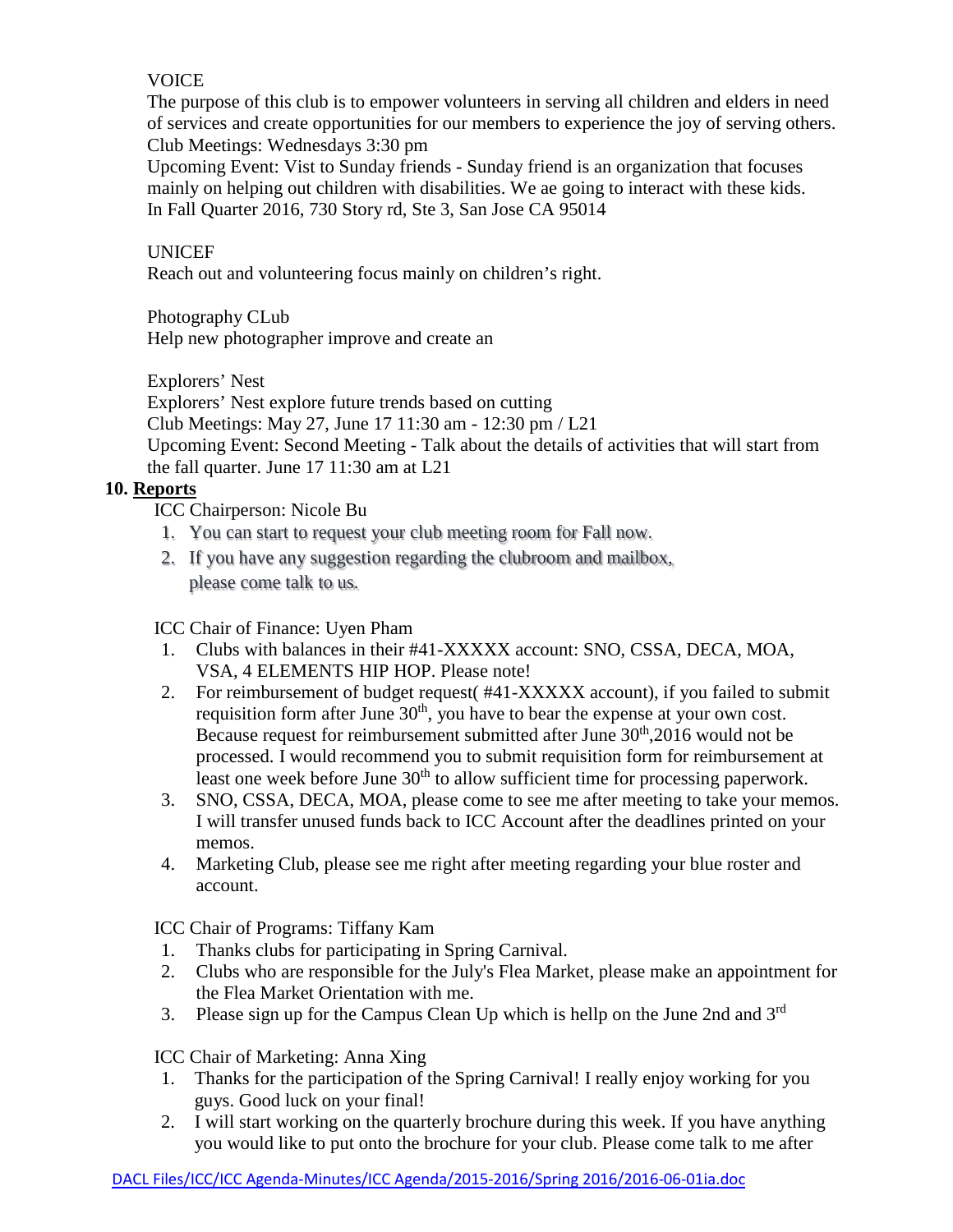# **VOICE**

The purpose of this club is to empower volunteers in serving all children and elders in need of services and create opportunities for our members to experience the joy of serving others. Club Meetings: Wednesdays 3:30 pm

Upcoming Event: Vist to Sunday friends - Sunday friend is an organization that focuses mainly on helping out children with disabilities. We ae going to interact with these kids. In Fall Quarter 2016, 730 Story rd, Ste 3, San Jose CA 95014

# UNICEF

Reach out and volunteering focus mainly on children's right.

Photography CLub

Help new photographer improve and create an

Explorers' Nest

Explorers' Nest explore future trends based on cutting

Club Meetings: May 27, June 17 11:30 am - 12:30 pm / L21

Upcoming Event: Second Meeting - Talk about the details of activities that will start from the fall quarter. June 17 11:30 am at L21

# **10. Reports**

ICC Chairperson: Nicole Bu

- 1. You can start to request your club meeting room for Fall now.
- 2. If you have any suggestion regarding the clubroom and mailbox, please come talk to us.

ICC Chair of Finance: Uyen Pham

- 1. Clubs with balances in their #41-XXXXX account: SNO, CSSA, DECA, MOA, VSA, 4 ELEMENTS HIP HOP. Please note!
- 2. For reimbursement of budget request( #41-XXXXX account), if you failed to submit requisition form after June  $30<sup>th</sup>$ , you have to bear the expense at your own cost. Because request for reimbursement submitted after June  $30<sup>th</sup>$ , 2016 would not be processed. I would recommend you to submit requisition form for reimbursement at least one week before June 30<sup>th</sup> to allow sufficient time for processing paperwork.
- 3. SNO, CSSA, DECA, MOA, please come to see me after meeting to take your memos. I will transfer unused funds back to ICC Account after the deadlines printed on your memos.
- 4. Marketing Club, please see me right after meeting regarding your blue roster and account.

ICC Chair of Programs: Tiffany Kam

- 1. Thanks clubs for participating in Spring Carnival.
- 2. Clubs who are responsible for the July's Flea Market, please make an appointment for the Flea Market Orientation with me.
- 3. Please sign up for the Campus Clean Up which is hellp on the June 2nd and  $3<sup>rd</sup>$

ICC Chair of Marketing: Anna Xing

- 1. Thanks for the participation of the Spring Carnival! I really enjoy working for you guys. Good luck on your final!
- 2. I will start working on the quarterly brochure during this week. If you have anything you would like to put onto the brochure for your club. Please come talk to me after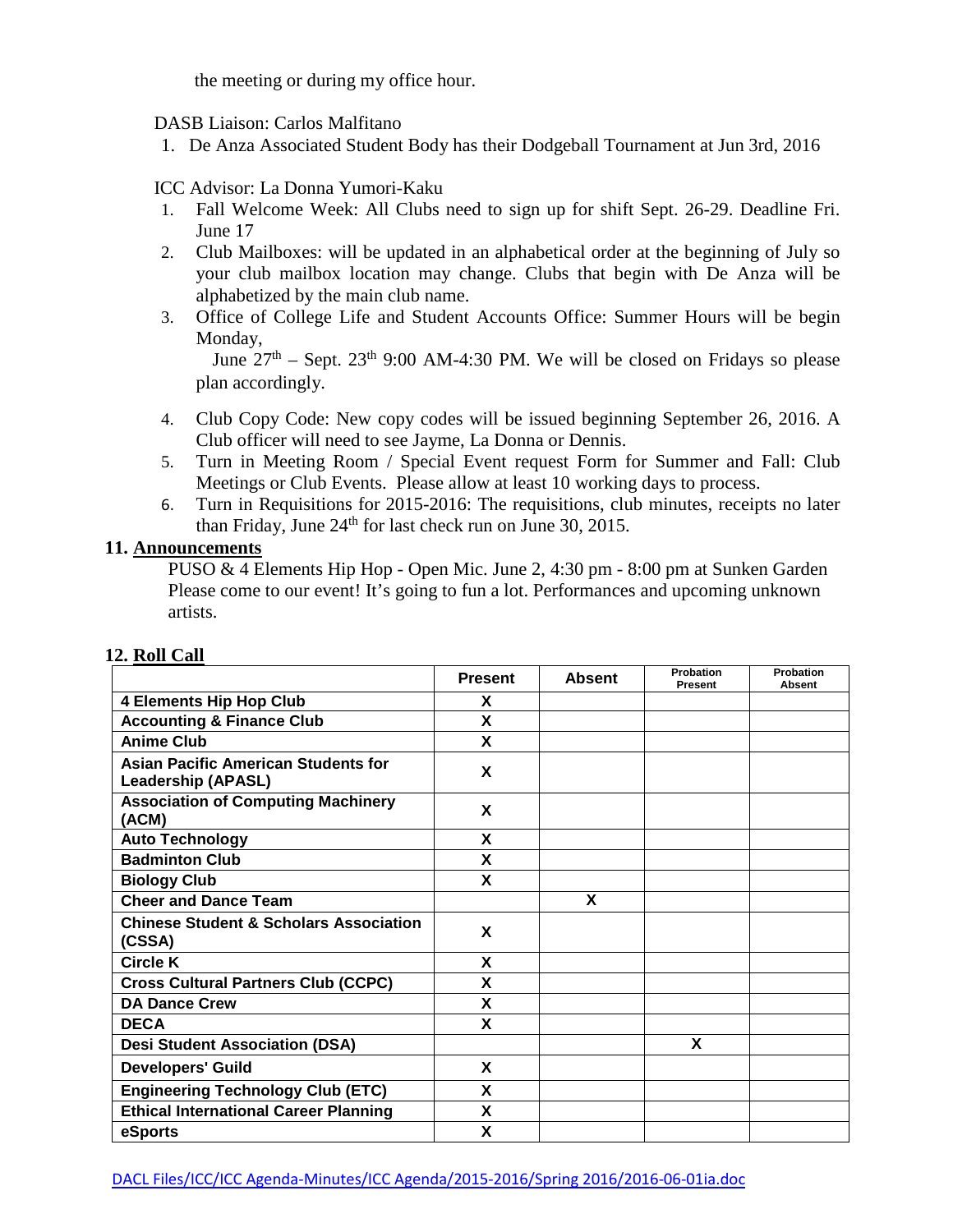the meeting or during my office hour.

#### DASB Liaison: Carlos Malfitano

1. De Anza Associated Student Body has their Dodgeball Tournament at Jun 3rd, 2016

#### ICC Advisor: La Donna Yumori-Kaku

- 1. Fall Welcome Week: All Clubs need to sign up for shift Sept. 26-29. Deadline Fri. June 17
- 2. Club Mailboxes: will be updated in an alphabetical order at the beginning of July so your club mailbox location may change. Clubs that begin with De Anza will be alphabetized by the main club name.
- 3. Office of College Life and Student Accounts Office: Summer Hours will be begin Monday,

June  $27<sup>th</sup>$  – Sept.  $23<sup>th</sup>$  9:00 AM-4:30 PM. We will be closed on Fridays so please plan accordingly.

- 4. Club Copy Code: New copy codes will be issued beginning September 26, 2016. A Club officer will need to see Jayme, La Donna or Dennis.
- 5. Turn in Meeting Room / Special Event request Form for Summer and Fall: Club Meetings or Club Events. Please allow at least 10 working days to process.
- 6. Turn in Requisitions for 2015-2016: The requisitions, club minutes, receipts no later than Friday, June 24<sup>th</sup> for last check run on June 30, 2015.

## **11. Announcements**

PUSO & 4 Elements Hip Hop - Open Mic. June 2, 4:30 pm - 8:00 pm at Sunken Garden Please come to our event! It's going to fun a lot. Performances and upcoming unknown artists.

|                                                                         | <b>Present</b> | <b>Absent</b> | Probation<br>Present | Probation<br><b>Absent</b> |
|-------------------------------------------------------------------------|----------------|---------------|----------------------|----------------------------|
| <b>4 Elements Hip Hop Club</b>                                          | X              |               |                      |                            |
| <b>Accounting &amp; Finance Club</b>                                    | X              |               |                      |                            |
| <b>Anime Club</b>                                                       | X              |               |                      |                            |
| <b>Asian Pacific American Students for</b><br><b>Leadership (APASL)</b> | X              |               |                      |                            |
| <b>Association of Computing Machinery</b><br>(ACM)                      | X              |               |                      |                            |
| <b>Auto Technology</b>                                                  | X              |               |                      |                            |
| <b>Badminton Club</b>                                                   | X              |               |                      |                            |
| <b>Biology Club</b>                                                     | X              |               |                      |                            |
| <b>Cheer and Dance Team</b>                                             |                | X             |                      |                            |
| <b>Chinese Student &amp; Scholars Association</b><br>(CSSA)             | X              |               |                      |                            |
| <b>Circle K</b>                                                         | X              |               |                      |                            |
| <b>Cross Cultural Partners Club (CCPC)</b>                              | X              |               |                      |                            |
| <b>DA Dance Crew</b>                                                    | X              |               |                      |                            |
| <b>DECA</b>                                                             | X              |               |                      |                            |
| <b>Desi Student Association (DSA)</b>                                   |                |               | X                    |                            |
| <b>Developers' Guild</b>                                                | X              |               |                      |                            |
| <b>Engineering Technology Club (ETC)</b>                                | X              |               |                      |                            |
| <b>Ethical International Career Planning</b>                            | X              |               |                      |                            |
| eSports                                                                 | X              |               |                      |                            |

#### **12. Roll Call**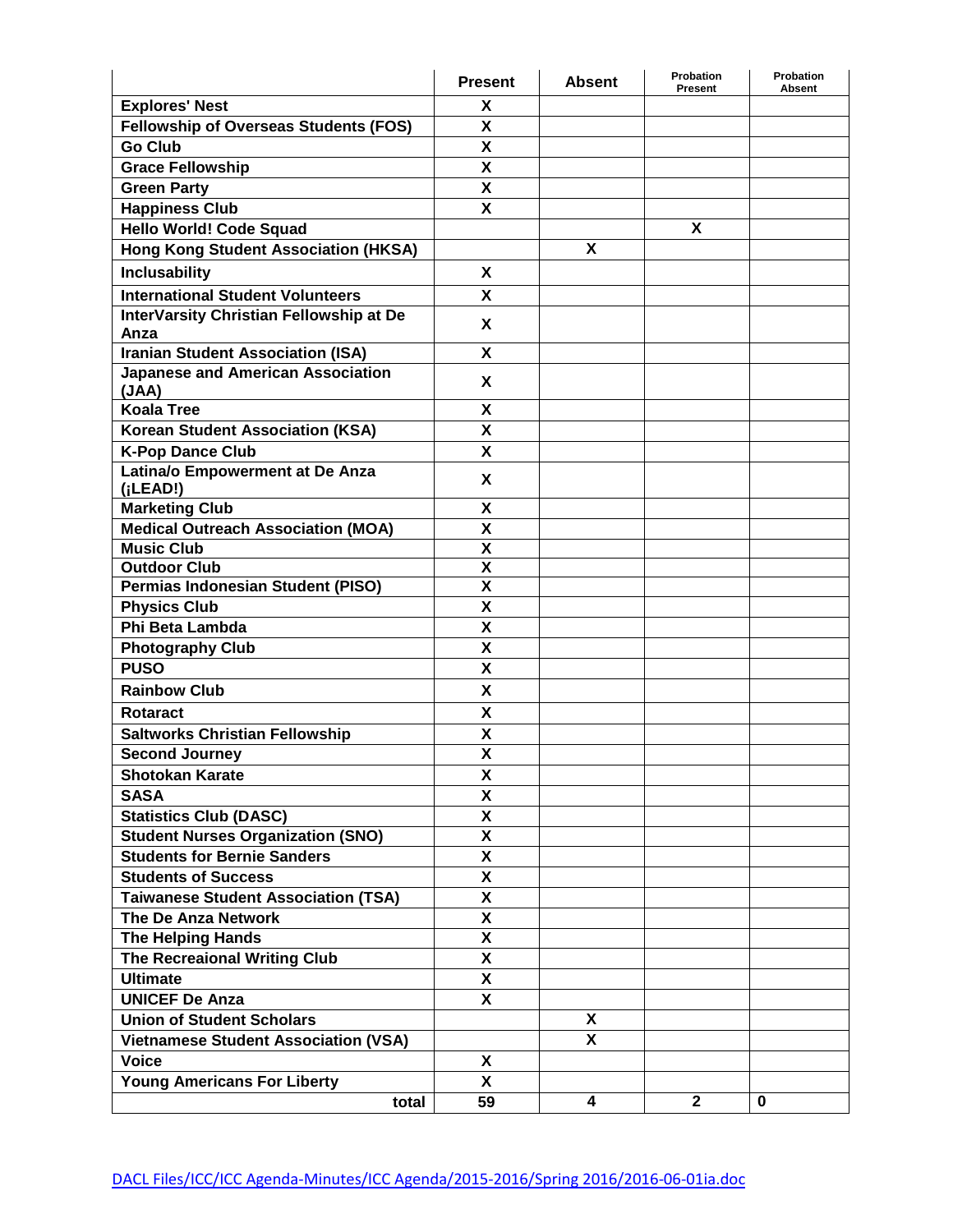|                                              | <b>Present</b>          | <b>Absent</b> | Probation<br><b>Present</b> | Probation<br>Absent |
|----------------------------------------------|-------------------------|---------------|-----------------------------|---------------------|
| <b>Explores' Nest</b>                        | X                       |               |                             |                     |
| <b>Fellowship of Overseas Students (FOS)</b> | X                       |               |                             |                     |
| <b>Go Club</b>                               | X                       |               |                             |                     |
| <b>Grace Fellowship</b>                      | X                       |               |                             |                     |
| <b>Green Party</b>                           | χ                       |               |                             |                     |
| <b>Happiness Club</b>                        | X                       |               |                             |                     |
| <b>Hello World! Code Squad</b>               |                         |               | X                           |                     |
| <b>Hong Kong Student Association (HKSA)</b>  |                         | X             |                             |                     |
| <b>Inclusability</b>                         | X                       |               |                             |                     |
| <b>International Student Volunteers</b>      | X                       |               |                             |                     |
| InterVarsity Christian Fellowship at De      |                         |               |                             |                     |
| Anza                                         | X                       |               |                             |                     |
| <b>Iranian Student Association (ISA)</b>     | X                       |               |                             |                     |
| <b>Japanese and American Association</b>     | X                       |               |                             |                     |
| (JAA)                                        |                         |               |                             |                     |
| <b>Koala Tree</b>                            | Χ                       |               |                             |                     |
| <b>Korean Student Association (KSA)</b>      | X                       |               |                             |                     |
| <b>K-Pop Dance Club</b>                      | X                       |               |                             |                     |
| Latina/o Empowerment at De Anza<br>(iLEAD!)  | X                       |               |                             |                     |
| <b>Marketing Club</b>                        | X                       |               |                             |                     |
| <b>Medical Outreach Association (MOA)</b>    | X                       |               |                             |                     |
| <b>Music Club</b>                            | X                       |               |                             |                     |
| <b>Outdoor Club</b>                          | X                       |               |                             |                     |
| <b>Permias Indonesian Student (PISO)</b>     | χ                       |               |                             |                     |
| <b>Physics Club</b>                          | X                       |               |                             |                     |
| Phi Beta Lambda                              | $\overline{\mathbf{x}}$ |               |                             |                     |
| <b>Photography Club</b>                      | χ                       |               |                             |                     |
| <b>PUSO</b>                                  | X                       |               |                             |                     |
| <b>Rainbow Club</b>                          | X                       |               |                             |                     |
| <b>Rotaract</b>                              | X                       |               |                             |                     |
| <b>Saltworks Christian Fellowship</b>        | χ                       |               |                             |                     |
| <b>Second Journey</b>                        | X                       |               |                             |                     |
| <b>Shotokan Karate</b>                       | X                       |               |                             |                     |
| <b>SASA</b>                                  | X                       |               |                             |                     |
| <b>Statistics Club (DASC)</b>                | X                       |               |                             |                     |
| <b>Student Nurses Organization (SNO)</b>     | X                       |               |                             |                     |
| <b>Students for Bernie Sanders</b>           | χ                       |               |                             |                     |
| <b>Students of Success</b>                   | X                       |               |                             |                     |
| <b>Taiwanese Student Association (TSA)</b>   | χ                       |               |                             |                     |
| The De Anza Network                          | X                       |               |                             |                     |
| <b>The Helping Hands</b>                     | $\overline{\mathbf{X}}$ |               |                             |                     |
| The Recreaional Writing Club                 | X                       |               |                             |                     |
| <b>Ultimate</b>                              | X                       |               |                             |                     |
| <b>UNICEF De Anza</b>                        | X                       |               |                             |                     |
| <b>Union of Student Scholars</b>             |                         | X             |                             |                     |
| <b>Vietnamese Student Association (VSA)</b>  |                         | X             |                             |                     |
| <b>Voice</b>                                 | X                       |               |                             |                     |
| <b>Young Americans For Liberty</b>           | X                       |               |                             |                     |
| total                                        | 59                      | 4             | $\mathbf{2}$                | $\bf{0}$            |